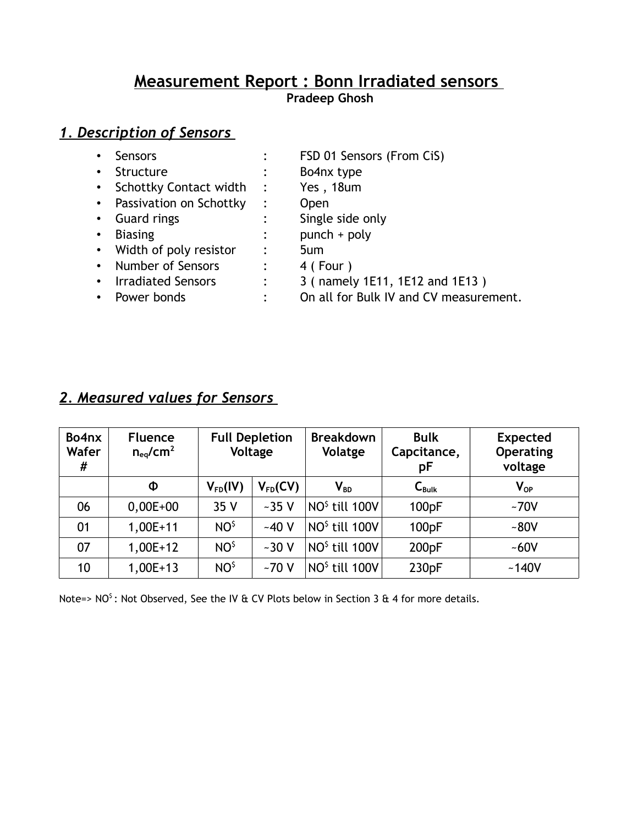# **Measurement R eport : Bonn Irradiated sensors**

**Pradeep Ghosh**

# *1. Description of Sensors*

| $\bullet$ | Sensors                   |                      | FSD 01 Sensors (From CiS)              |
|-----------|---------------------------|----------------------|----------------------------------------|
| $\bullet$ | Structure                 |                      | Bo4nx type                             |
|           | • Schottky Contact width  | $\ddot{\phantom{1}}$ | Yes, 18um                              |
|           | • Passivation on Schottky | $\ddot{\cdot}$       | <b>Open</b>                            |
| $\bullet$ | <b>Guard rings</b>        |                      | Single side only                       |
| $\bullet$ | <b>Biasing</b>            |                      | $punch + poly$                         |
|           | • Width of poly resistor  |                      | 5um                                    |
|           | • Number of Sensors       |                      | 4 (Four)                               |
|           | • Irradiated Sensors      | $\ddot{\cdot}$       | 3 ( namely 1E11, 1E12 and 1E13 )       |
| $\bullet$ | Power bonds               |                      | On all for Bulk IV and CV measurement. |

# *2. Measured values for Sensors*

| Bo4nx<br>Wafer<br># | <b>Fluence</b><br>$n_{eq}/cm^2$ | <b>Full Depletion</b><br>Voltage |              | <b>Breakdown</b><br>Volatge                   | <b>Bulk</b><br>Capcitance,<br>pF | <b>Expected</b><br><b>Operating</b><br>voltage |
|---------------------|---------------------------------|----------------------------------|--------------|-----------------------------------------------|----------------------------------|------------------------------------------------|
|                     | Φ                               | $V_{FD}(IV)$                     | $V_{FD}(CV)$ | $V_{BD}$                                      | $C_{\text{Bulk}}$                | $V_{OP}$                                       |
| 06                  | $0,00E+00$                      | 35 V                             | $-35V$       | NO <sup>\$</sup> till 100V                    | 100 <sub>pF</sub>                | $-70V$                                         |
| 01                  | $1,00E+11$                      | <b>NO<sup>\$</sup></b>           | $-40V$       | NO <sup>\$</sup> till 100V                    | 100 <sub>pF</sub>                | $-80V$                                         |
| 07                  | $1,00E+12$                      | NO <sup>\$</sup>                 | $-30V$       | $\overline{N}$ NO $^{\overline{5}}$ till 100V | 200 <sub>pF</sub>                | $-60V$                                         |
| 10                  | $1,00E+13$                      | NO <sup>\$</sup>                 | $-70V$       | NO <sup>\$</sup> till 100V                    | 230 <sub>pF</sub>                | $-140V$                                        |

Note=> NO<sup>s</sup> : Not Observed, See the IV & CV Plots below in Section 3 & 4 for more details.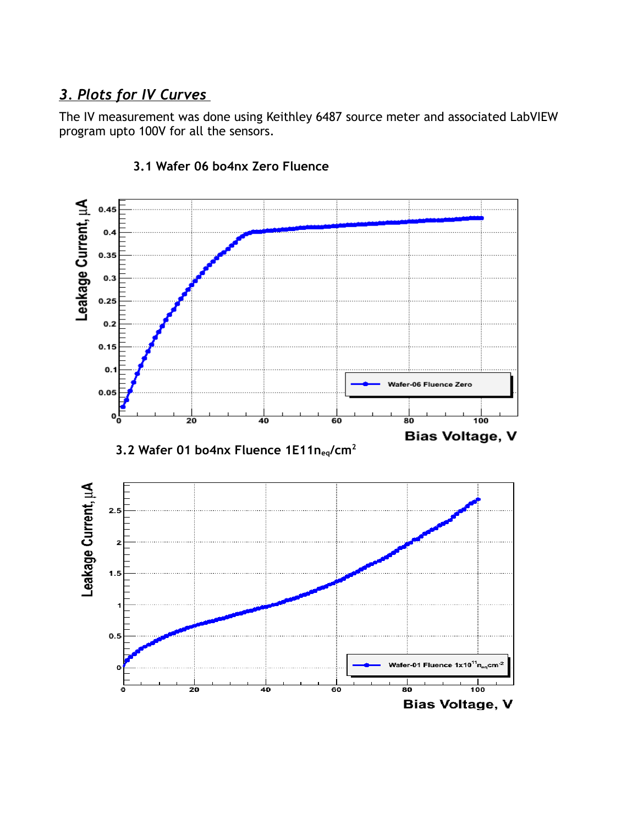## *3. Plots for IV Curves*

The IV measurement was done using Keithley 6487 source meter and associated LabVIEW program upto 100V for all the sensors.



#### **3.1 Wafer 06 bo4nx Zero Fluence**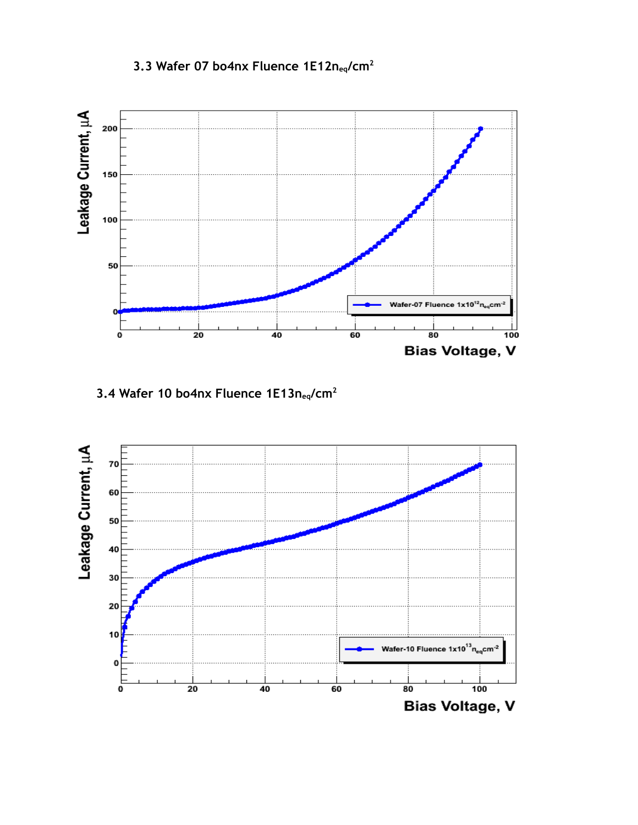### **3.3 Wafer 07 bo4nx Fluence 1E12neq/cm<sup>2</sup>**



**3.4 Wafer 10 bo4nx Fluence 1E13neq/cm<sup>2</sup>**

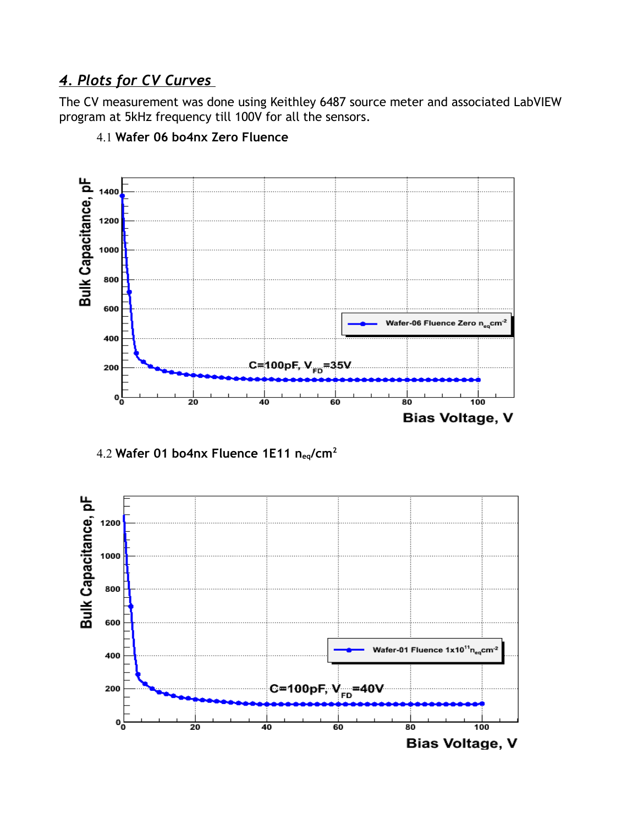## *4 . Plots for CV Curves*

The CV measurement was done using Keithley 6487 source meter and associated LabVIEW program at 5kHz frequency till 100V for all the sensors.



4.1 **Wafer 06 bo4nx Zero Fluence**

4.2 **Wafer 01 bo4nx Fluence 1E11 neq/cm<sup>2</sup>**